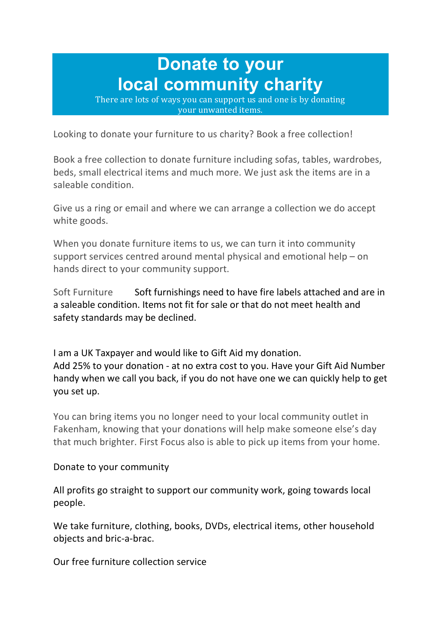## **Donate to your local community charity**

There are lots of ways you can support us and one is by donating your unwanted items.

Looking to donate your furniture to us charity? Book a free collection!

Book a free collection to donate furniture including sofas, tables, wardrobes, beds, small electrical items and much more. We just ask the items are in a saleable condition.

Give us a ring or email and where we can arrange a collection we do accept white goods.

When you donate furniture items to us, we can turn it into community support services centred around mental physical and emotional help – on hands direct to your community support.

Soft Furniture Soft furnishings need to have fire labels attached and are in a saleable condition. Items not fit for sale or that do not meet health and safety standards may be declined.

I am a UK Taxpayer and would like to Gift Aid my donation. Add 25% to your donation - at no extra cost to you. Have your Gift Aid Number handy when we call you back, if you do not have one we can quickly help to get you set up.

You can bring items you no longer need to your local community outlet in Fakenham, knowing that your donations will help make someone else's day that much brighter. First Focus also is able to pick up items from your home.

## Donate to your community

All profits go straight to support our community work, going towards local people.

We take furniture, clothing, books, DVDs, electrical items, other household objects and bric-a-brac.

Our free furniture collection service